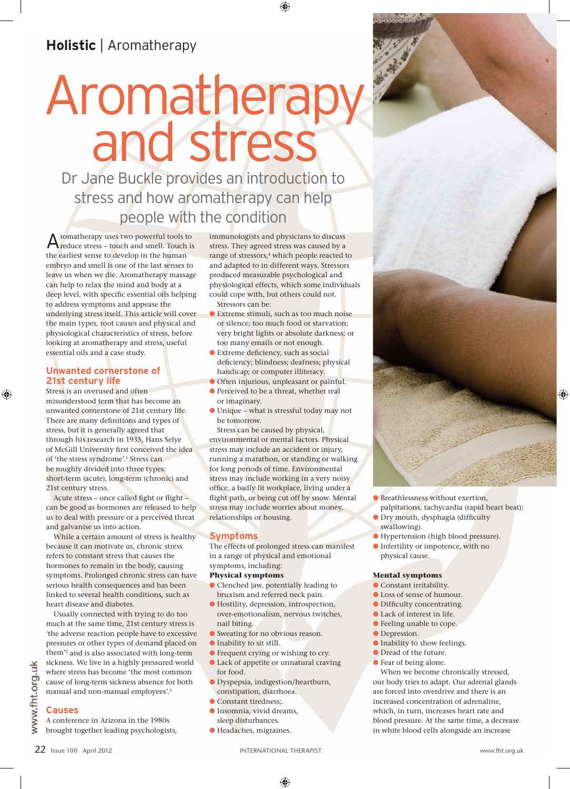# Aromatherapy<br>and stress

Dr Jane Buckle provides an introduction to stress and how aromatherapy can help people with the condition

Aromatherapy uses two powerful tools to reduce stress – touch and smell. Touch is the earliest sense to develop in the human embryo and smell is one of the last senses to leave us when we die. Aromatherapy massage can help to relax the mind and body at a deep level, with specific essential oils helping to address symptoms and appease the underlying stress itself. This article will cover the main types, root causes and physical and physiological characteristics of stress, before looking at aromatherapy and stress, useful essential oils and a case study.

#### **Unwanted cornerstone of 21st century life**

Stress is an overused and often misunderstood term that has become an unwanted cornerstone of 21st century life. There are many definitions and types of stress, but it is generally agreed that through his research in 1935, Hans Selye of McGill University first conceived the idea of 'the stress syndrome'.<sup>1</sup> Stress can be roughly divided into three types: short-term (acute), long-term (chronic) and 21st century stress.

Acute stress – once called fight or flight – can be good as hormones are released to help us to deal with pressure or a perceived threat and galvanise us into action.

While a certain amount of stress is healthy because it can motivate us, chronic stress refers to constant stress that causes the hormones to remain in the body, causing symptoms. Prolonged chronic stress can have serious health consequences and has been linked to several health conditions, such as heart disease and diabetes.

Usually connected with trying to do too much at the same time, 21st century stress is 'the adverse reaction people have to excessive pressures or other types of demand placed on them'2 and is also associated with long-term sickness. We live in a highly pressured world where stress has become 'the most common cause of long-term sickness absence for both manual and non-manual employees'.3

www.fht.org.uk

## **Causes**

A conference in Arizona in the 1980s brought together leading psychologists,

immunologists and physicians to discuss stress. They agreed stress was caused by a range of stressors,<sup>4</sup> which people reacted to and adapted to in different ways. Stressors produced measurable psychological and physiological effects, which some individuals could cope with, but others could not. Stressors can be:

- l Extreme stimuli, such as too much noise or silence; too much food or starvation; very bright lights or absolute darkness; or too many emails or not enough.
- l Extreme deficiency, such as social deficiency; blindness; deafness; physical handicap; or computer illiteracy.
- **O** Often injurious, unpleasant or painful.
- **•** Perceived to be a threat, whether real or imaginary.
- l Unique what is stressful today may not be tomorrow.

Stress can be caused by physical, environmental or mental factors. Physical stress may include an accident or injury, running a marathon, or standing or walking for long periods of time. Environmental stress may include working in a very noisy office, a badly lit workplace, living under a flight path, or being cut off by snow. Mental stress may include worries about money, relationships or housing.

### **Symptoms**

The effects of prolonged stress can manifest in a range of physical and emotional symptoms, including:

#### **Physical symptoms**

- **Clenched jaw, potentially leading to** bruxism and referred neck pain.
- l Hostility, depression, introspection, over-emotionalism, nervous twitches, nail biting.
- l Sweating for no obvious reason.
- **Inability to sit still.**
- **•** Frequent crying or wishing to cry.
- l Lack of appetite or unnatural craving for food.
- l Dyspepsia, indigestion/heartburn, constipation, diarrhoea.
- **Constant tiredness;.**
- **Insomnia**, vivid dreams, sleep disturbances.
- l Headaches, migraines.



- **C** Breathlessness without exertion, palpitations, tachycardia (rapid heart beat);
- l Dry mouth, dysphagia (difficulty swallowing).
- l Hypertension (high blood pressure).
- l Infertility or impotence, with no physical cause.

#### **Mental symptoms**

- **Constant irritability.**
- l Loss of sense of humour.
- l Difficulty concentrating.
- **Lack of interest in life.**
- l Feeling unable to cope.
- **Depression.**
- l Inability to show feelings.
- l Dread of the future.
- l Fear of being alone.

When we become chronically stressed, our body tries to adapt. Our adrenal glands are forced into overdrive and there is an increased concentration of adrenaline, which, in turn, increases heart rate and blood pressure. At the same time, a decrease in white blood cells alongside an increase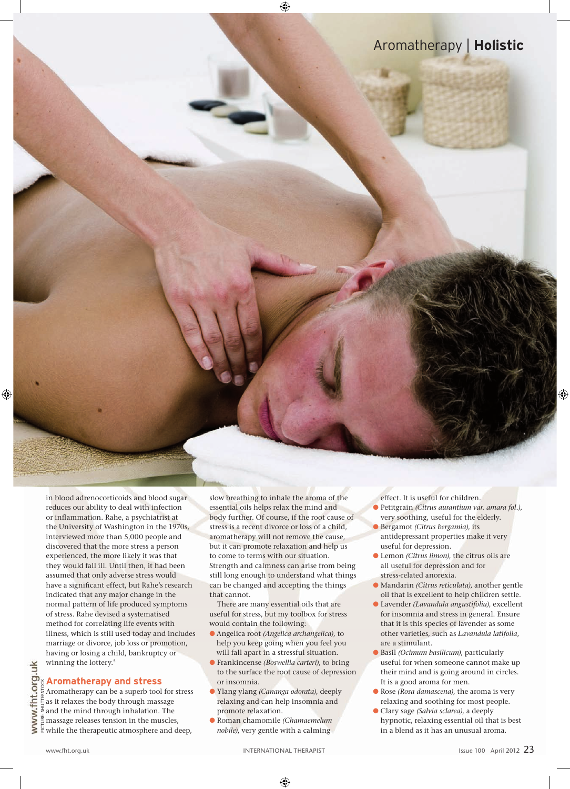in blood adrenocorticoids and blood sugar reduces our ability to deal with infection or inflammation. Rahe, a psychiatrist at the University of Washington in the 1970s, interviewed more than 5,000 people and discovered that the more stress a person experienced, the more likely it was that they would fall ill. Until then, it had been assumed that only adverse stress would have a significant effect, but Rahe's research indicated that any major change in the normal pattern of life produced symptoms of stress. Rahe devised a systematised method for correlating life events with illness, which is still used today and includes marriage or divorce, job loss or promotion, having or losing a child, bankruptcy or winning the lottery.<sup>5</sup>

# **Aromatherapy and stress**

Aromatherapy can be a superb tool for stress as it relaxes the body through massage and the mind through inhalation. The massage releases tension in the muscles,  $\breve{\Xi}$  while the therapeutic atmosphere and deep,

slow breathing to inhale the aroma of the essential oils helps relax the mind and body further. Of course, if the root cause of stress is a recent divorce or loss of a child, aromatherapy will not remove the cause, but it can promote relaxation and help us to come to terms with our situation. Strength and calmness can arise from being still long enough to understand what things can be changed and accepting the things that cannot.

There are many essential oils that are useful for stress, but my toolbox for stress would contain the following:

- l Angelica root *(Angelica archangelica)*, to help you keep going when you feel you will fall apart in a stressful situation.
- l Frankincense *(Boswellia carteri)*, to bring to the surface the root cause of depression or insomnia.
- l Ylang ylang *(Cananga odorata)*, deeply relaxing and can help insomnia and promote relaxation.
- l Roman chamomile *(Chamaemelum nobile)*, very gentle with a calming

effect. It is useful for children.

- l Petitgrain *(Citrus aurantium var. amara fol.)*, very soothing, useful for the elderly.
- l Bergamot *(Citrus bergamia)*, its antidepressant properties make it very useful for depression.
- l Lemon *(Citrus limon)*, the citrus oils are all useful for depression and for stress-related anorexia.
- l Mandarin *(Citrus reticulata)*, another gentle oil that is excellent to help children settle.
- l Lavender *(Lavandula angustifolia)*, excellent for insomnia and stress in general. Ensure that it is this species of lavender as some other varieties, such as *Lavandula latifolia*, are a stimulant.
- l Basil *(Ocimum basilicum)*, particularly useful for when someone cannot make up their mind and is going around in circles. It is a good aroma for men.
- l Rose *(Rosa damascena)*, the aroma is very relaxing and soothing for most people.
- l Clary sage *(Salvia sclarea)*, a deeply hypnotic, relaxing essential oil that is best in a blend as it has an unusual aroma.